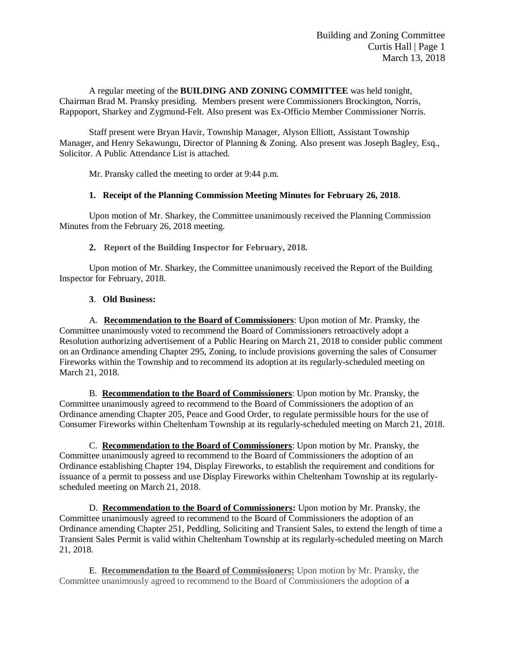A regular meeting of the **BUILDING AND ZONING COMMITTEE** was held tonight, Chairman Brad M. Pransky presiding. Members present were Commissioners Brockington, Norris, Rappoport, Sharkey and Zygmund-Felt. Also present was Ex-Officio Member Commissioner Norris.

Staff present were Bryan Havir, Township Manager, Alyson Elliott, Assistant Township Manager, and Henry Sekawungu, Director of Planning & Zoning. Also present was Joseph Bagley, Esq., Solicitor. A Public Attendance List is attached.

Mr. Pransky called the meeting to order at 9:44 p.m.

#### **1. Receipt of the Planning Commission Meeting Minutes for February 26, 2018.**

Upon motion of Mr. Sharkey, the Committee unanimously received the Planning Commission Minutes from the February 26, 2018 meeting.

**2. Report of the Building Inspector for February, 2018.**

Upon motion of Mr. Sharkey, the Committee unanimously received the Report of the Building Inspector for February, 2018.

#### **3**. **Old Business:**

A. **Recommendation to the Board of Commissioners**: Upon motion of Mr. Pransky, the Committee unanimously voted to recommend the Board of Commissioners retroactively adopt a Resolution authorizing advertisement of a Public Hearing on March 21, 2018 to consider public comment on an Ordinance amending Chapter 295, Zoning, to include provisions governing the sales of Consumer Fireworks within the Township and to recommend its adoption at its regularly-scheduled meeting on March 21, 2018.

B. **Recommendation to the Board of Commissioners**: Upon motion by Mr. Pransky, the Committee unanimously agreed to recommend to the Board of Commissioners the adoption of an Ordinance amending Chapter 205, Peace and Good Order, to regulate permissible hours for the use of Consumer Fireworks within Cheltenham Township at its regularly-scheduled meeting on March 21, 2018.

 C. **Recommendation to the Board of Commissioners**: Upon motion by Mr. Pransky, the Committee unanimously agreed to recommend to the Board of Commissioners the adoption of an Ordinance establishing Chapter 194, Display Fireworks, to establish the requirement and conditions for issuance of a permit to possess and use Display Fireworks within Cheltenham Township at its regularlyscheduled meeting on March 21, 2018.

D. **Recommendation to the Board of Commissioners:** Upon motion by Mr. Pransky, the Committee unanimously agreed to recommend to the Board of Commissioners the adoption of an Ordinance amending Chapter 251, Peddling, Soliciting and Transient Sales, to extend the length of time a Transient Sales Permit is valid within Cheltenham Township at its regularly-scheduled meeting on March 21, 2018.

E. **Recommendation to the Board of Commissioners:** Upon motion by Mr. Pransky, the Committee unanimously agreed to recommend to the Board of Commissioners the adoption of **a**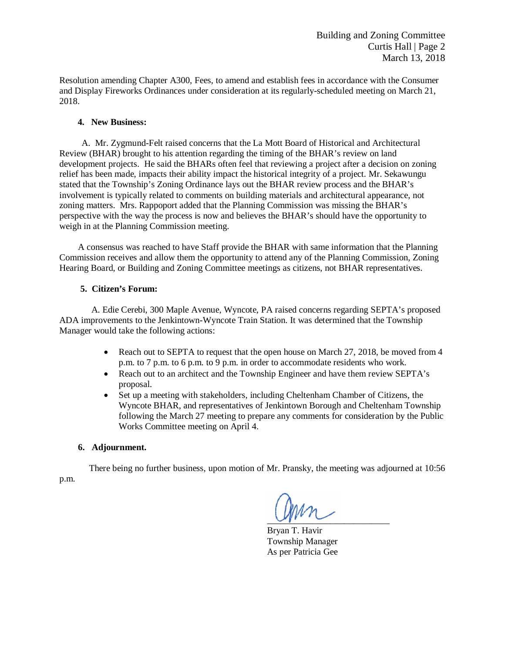Resolution amending Chapter A300, Fees, to amend and establish fees in accordance with the Consumer and Display Fireworks Ordinances under consideration at its regularly-scheduled meeting on March 21, 2018.

#### **4. New Business:**

A. Mr. Zygmund-Felt raised concerns that the La Mott Board of Historical and Architectural Review (BHAR) brought to his attention regarding the timing of the BHAR's review on land development projects. He said the BHARs often feel that reviewing a project after a decision on zoning relief has been made, impacts their ability impact the historical integrity of a project. Mr. Sekawungu stated that the Township's Zoning Ordinance lays out the BHAR review process and the BHAR's involvement is typically related to comments on building materials and architectural appearance, not zoning matters. Mrs. Rappoport added that the Planning Commission was missing the BHAR's perspective with the way the process is now and believes the BHAR's should have the opportunity to weigh in at the Planning Commission meeting.

A consensus was reached to have Staff provide the BHAR with same information that the Planning Commission receives and allow them the opportunity to attend any of the Planning Commission, Zoning Hearing Board, or Building and Zoning Committee meetings as citizens, not BHAR representatives.

#### **5. Citizen's Forum:**

A. Edie Cerebi, 300 Maple Avenue, Wyncote, PA raised concerns regarding SEPTA's proposed ADA improvements to the Jenkintown-Wyncote Train Station. It was determined that the Township Manager would take the following actions:

- Reach out to SEPTA to request that the open house on March 27, 2018, be moved from 4 p.m. to 7 p.m. to 6 p.m. to 9 p.m. in order to accommodate residents who work.
- Reach out to an architect and the Township Engineer and have them review SEPTA's proposal.
- Set up a meeting with stakeholders, including Cheltenham Chamber of Citizens, the Wyncote BHAR, and representatives of Jenkintown Borough and Cheltenham Township following the March 27 meeting to prepare any comments for consideration by the Public Works Committee meeting on April 4.

#### **6. Adjournment.**

There being no further business, upon motion of Mr. Pransky, the meeting was adjourned at 10:56 p.m.

 $U_1, \ldots, U_n$ 

Bryan T. Havir Township Manager As per Patricia Gee